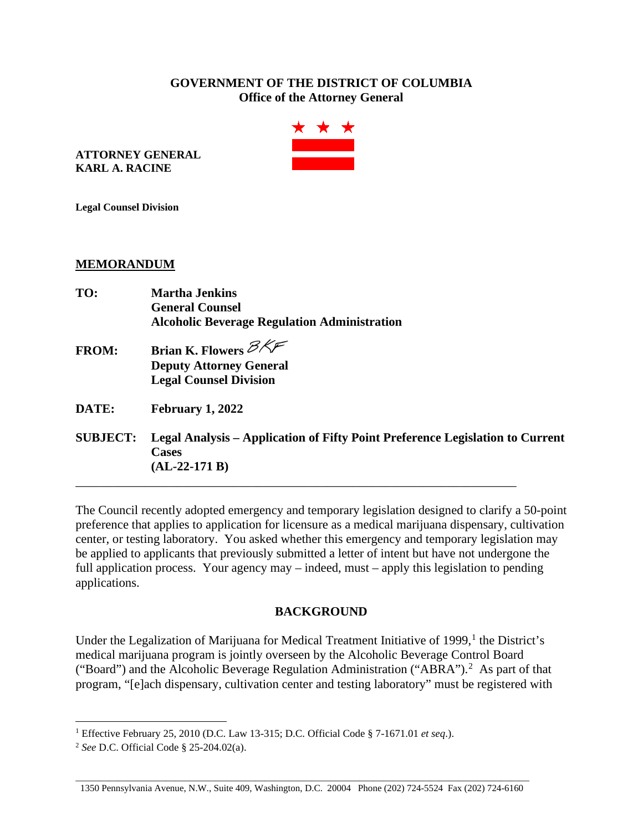## **GOVERNMENT OF THE DISTRICT OF COLUMBIA Office of the Attorney General**



**ATTORNEY GENERAL KARL A. RACINE**

**Legal Counsel Division**

## **MEMORANDUM**

| TO:             | <b>Martha Jenkins</b>                                                                  |
|-----------------|----------------------------------------------------------------------------------------|
|                 | <b>General Counsel</b>                                                                 |
|                 | <b>Alcoholic Beverage Regulation Administration</b>                                    |
| <b>FROM:</b>    | Brian K. Flowers $\mathcal{B} \times \mathcal{F}$                                      |
|                 | <b>Deputy Attorney General</b>                                                         |
|                 | <b>Legal Counsel Division</b>                                                          |
| DATE:           | February 1, 2022                                                                       |
| <b>SUBJECT:</b> | Legal Analysis – Application of Fifty Point Preference Legislation to Current<br>Cacac |

**Cases (AL-22-171 B)** 

The Council recently adopted emergency and temporary legislation designed to clarify a 50-point preference that applies to application for licensure as a medical marijuana dispensary, cultivation center, or testing laboratory. You asked whether this emergency and temporary legislation may be applied to applicants that previously submitted a letter of intent but have not undergone the full application process. Your agency may – indeed, must – apply this legislation to pending applications.

\_\_\_\_\_\_\_\_\_\_\_\_\_\_\_\_\_\_\_\_\_\_\_\_\_\_\_\_\_\_\_\_\_\_\_\_\_\_\_\_\_\_\_\_\_\_\_\_\_\_\_\_\_\_\_\_\_\_\_\_\_\_\_\_\_\_\_\_\_\_

## **BACKGROUND**

Under the Legalization of Marijuana for Medical Treatment Initiative of [1](#page-0-0)999,<sup>1</sup> the District's medical marijuana program is jointly overseen by the Alcoholic Beverage Control Board ("Board") and the Alcoholic Beverage Regulation Administration ("ABRA").<sup>[2](#page-0-1)</sup> As part of that program, "[e]ach dispensary, cultivation center and testing laboratory" must be registered with

<span id="page-0-0"></span><sup>1</sup> Effective February 25, 2010 (D.C. Law 13-315; D.C. Official Code § 7-1671.01 *et seq*.).

<span id="page-0-1"></span><sup>2</sup> *See* D.C. Official Code § 25-204.02(a).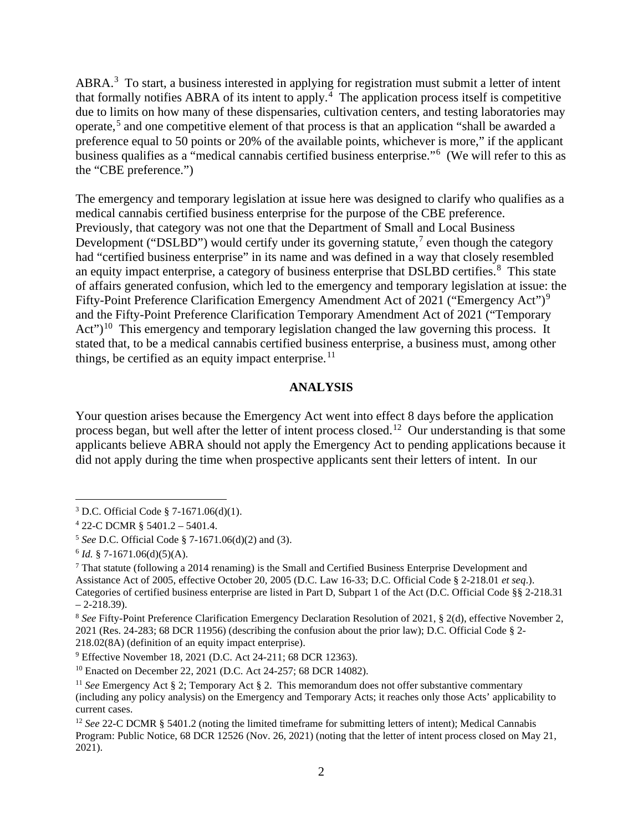ABRA.<sup>[3](#page-1-0)</sup> To start, a business interested in applying for registration must submit a letter of intent that formally notifies ABRA of its intent to apply.<sup>[4](#page-1-1)</sup> The application process itself is competitive due to limits on how many of these dispensaries, cultivation centers, and testing laboratories may operate,[5](#page-1-2) and one competitive element of that process is that an application "shall be awarded a preference equal to 50 points or 20% of the available points, whichever is more," if the applicant business qualifies as a "medical cannabis certified business enterprise."[6](#page-1-3) (We will refer to this as the "CBE preference.")

The emergency and temporary legislation at issue here was designed to clarify who qualifies as a medical cannabis certified business enterprise for the purpose of the CBE preference. Previously, that category was not one that the Department of Small and Local Business Development ("DSLBD") would certify under its governing statute,<sup>[7](#page-1-4)</sup> even though the category had "certified business enterprise" in its name and was defined in a way that closely resembled an equity impact enterprise, a category of business enterprise that DSLBD certifies.<sup>[8](#page-1-5)</sup> This state of affairs generated confusion, which led to the emergency and temporary legislation at issue: the Fifty-Point Preference Clarification Emergency Amendment Act of 2021 ("Emergency Act")<sup>[9](#page-1-6)</sup> and the Fifty-Point Preference Clarification Temporary Amendment Act of 2021 ("Temporary  $Act<sup>10</sup>$  $Act<sup>10</sup>$  $Act<sup>10</sup>$  This emergency and temporary legislation changed the law governing this process. It stated that, to be a medical cannabis certified business enterprise, a business must, among other things, be certified as an equity impact enterprise. $11$ 

## **ANALYSIS**

Your question arises because the Emergency Act went into effect 8 days before the application process began, but well after the letter of intent process closed.<sup>12</sup> Our understanding is that some applicants believe ABRA should not apply the Emergency Act to pending applications because it did not apply during the time when prospective applicants sent their letters of intent. In our

<span id="page-1-0"></span><sup>3</sup> D.C. Official Code § 7-1671.06(d)(1).

<span id="page-1-1"></span><sup>4</sup> 22-C DCMR § 5401.2 – 5401.4.

<span id="page-1-2"></span><sup>5</sup> *See* D.C. Official Code § 7-1671.06(d)(2) and (3).

<span id="page-1-3"></span> $6$  *Id.* § 7-1671.06(d)(5)(A).

<span id="page-1-4"></span> $<sup>7</sup>$  That statute (following a 2014 renaming) is the Small and Certified Business Enterprise Development and</sup> Assistance Act of 2005, effective October 20, 2005 (D.C. Law 16-33; D.C. Official Code § 2-218.01 *et seq*.). Categories of certified business enterprise are listed in Part D, Subpart 1 of the Act (D.C. Official Code §§ 2-218.31  $-2-218.39$ ).

<span id="page-1-5"></span><sup>8</sup> *See* Fifty-Point Preference Clarification Emergency Declaration Resolution of 2021, § 2(d), effective November 2, 2021 (Res. 24-283; 68 DCR 11956) (describing the confusion about the prior law); D.C. Official Code § 2- 218.02(8A) (definition of an equity impact enterprise).

<span id="page-1-6"></span><sup>9</sup> Effective November 18, 2021 (D.C. Act 24-211; 68 DCR 12363).

<span id="page-1-7"></span><sup>10</sup> Enacted on December 22, 2021 (D.C. Act 24-257; 68 DCR 14082).

<span id="page-1-8"></span><sup>&</sup>lt;sup>11</sup> See Emergency Act § 2; Temporary Act § 2. This memorandum does not offer substantive commentary (including any policy analysis) on the Emergency and Temporary Acts; it reaches only those Acts' applicability to current cases.

<span id="page-1-9"></span><sup>&</sup>lt;sup>12</sup> *See* 22-C DCMR § 5401.2 (noting the limited timeframe for submitting letters of intent); Medical Cannabis Program: Public Notice, 68 DCR 12526 (Nov. 26, 2021) (noting that the letter of intent process closed on May 21, 2021).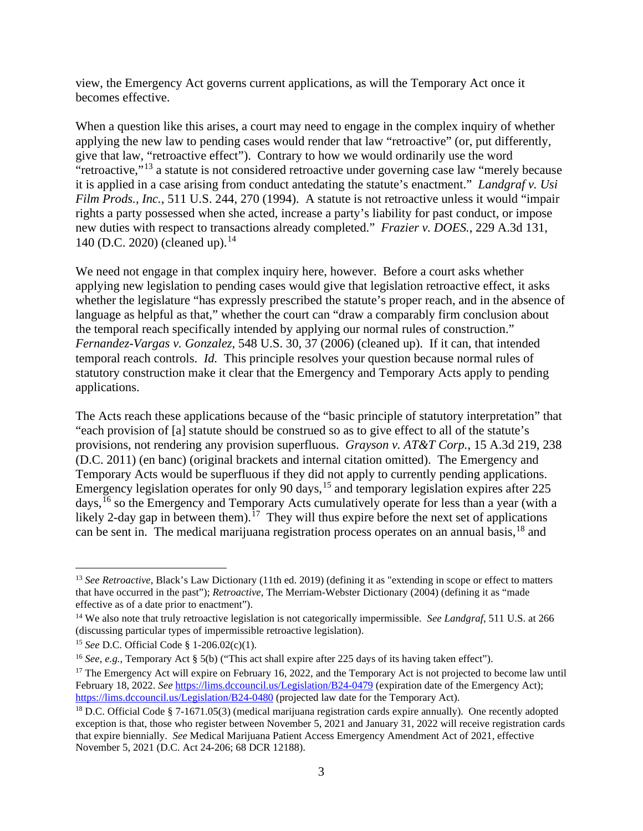view, the Emergency Act governs current applications, as will the Temporary Act once it becomes effective.

When a question like this arises, a court may need to engage in the complex inquiry of whether applying the new law to pending cases would render that law "retroactive" (or, put differently, give that law, "retroactive effect"). Contrary to how we would ordinarily use the word "retroactive,"<sup>[13](#page-2-0)</sup> a statute is not considered retroactive under governing case law "merely because" it is applied in a case arising from conduct antedating the statute's enactment." *Landgraf v. Usi Film Prods., Inc.*, 511 U.S. 244, 270 (1994). A statute is not retroactive unless it would "impair rights a party possessed when she acted, increase a party's liability for past conduct, or impose new duties with respect to transactions already completed." *Frazier v. DOES.*, 229 A.3d 131, [14](#page-2-1)0 (D.C. 2020) (cleaned up).<sup>14</sup>

We need not engage in that complex inquiry here, however. Before a court asks whether applying new legislation to pending cases would give that legislation retroactive effect, it asks whether the legislature "has expressly prescribed the statute's proper reach, and in the absence of language as helpful as that," whether the court can "draw a comparably firm conclusion about the temporal reach specifically intended by applying our normal rules of construction." *Fernandez-Vargas v. Gonzalez*, 548 U.S. 30, 37 (2006) (cleaned up). If it can, that intended temporal reach controls. *Id.* This principle resolves your question because normal rules of statutory construction make it clear that the Emergency and Temporary Acts apply to pending applications.

The Acts reach these applications because of the "basic principle of statutory interpretation" that "each provision of [a] statute should be construed so as to give effect to all of the statute's provisions, not rendering any provision superfluous. *Grayson v. AT&T Corp.*, 15 A.3d 219, 238 (D.C. 2011) (en banc) (original brackets and internal citation omitted). The Emergency and Temporary Acts would be superfluous if they did not apply to currently pending applications. Emergency legislation operates for only 90 days, [15](#page-2-2) and temporary legislation expires after 225 days, <sup>[16](#page-2-3)</sup> so the Emergency and Temporary Acts cumulatively operate for less than a year (with a likely 2-day gap in between them).<sup>[17](#page-2-4)</sup> They will thus expire before the next set of applications can be sent in. The medical marijuana registration process operates on an annual basis,[18](#page-2-5) and

<span id="page-2-0"></span><sup>&</sup>lt;sup>13</sup> *See Retroactive*, Black's Law Dictionary (11th ed. 2019) (defining it as "extending in scope or effect to matters that have occurred in the past"); *Retroactive*, The Merriam-Webster Dictionary (2004) (defining it as "made effective as of a date prior to enactment").

<span id="page-2-1"></span><sup>&</sup>lt;sup>14</sup> We also note that truly retroactive legislation is not categorically impermissible. *See Landgraf*, 511 U.S. at 266 (discussing particular types of impermissible retroactive legislation).

<span id="page-2-2"></span><sup>15</sup> *See* D.C. Official Code § 1-206.02(c)(1).

<span id="page-2-3"></span><sup>&</sup>lt;sup>16</sup> *See*, *e.g.*, Temporary Act § 5(b) ("This act shall expire after 225 days of its having taken effect").

<span id="page-2-4"></span> $17$  The Emergency Act will expire on February 16, 2022, and the Temporary Act is not projected to become law until February 18, 2022. *See* <https://lims.dccouncil.us/Legislation/B24-0479> (expiration date of the Emergency Act); <https://lims.dccouncil.us/Legislation/B24-0480> (projected law date for the Temporary Act).

<span id="page-2-5"></span><sup>&</sup>lt;sup>18</sup> D.C. Official Code § 7-1671.05(3) (medical marijuana registration cards expire annually). One recently adopted exception is that, those who register between November 5, 2021 and January 31, 2022 will receive registration cards that expire biennially. *See* Medical Marijuana Patient Access Emergency Amendment Act of 2021, effective November 5, 2021 (D.C. Act 24-206; 68 DCR 12188).